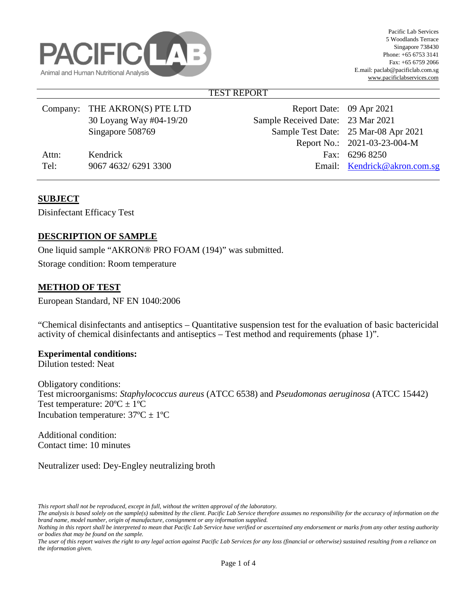

## TEST REPORT

|       | Company: THE AKRON(S) PTE LTD | Report Date: 09 Apr 2021          |                                      |
|-------|-------------------------------|-----------------------------------|--------------------------------------|
|       | 30 Loyang Way #04-19/20       | Sample Received Date: 23 Mar 2021 |                                      |
|       | Singapore 508769              |                                   | Sample Test Date: 25 Mar-08 Apr 2021 |
|       |                               |                                   | Report No.: 2021-03-23-004-M         |
| Attn: | Kendrick                      |                                   | Fax: 6296 8250                       |
| Tel:  | 9067 4632/6291 3300           |                                   | Email: Kendrick@akron.com.sg         |
|       |                               |                                   |                                      |

# **SUBJECT**

Disinfectant Efficacy Test

# **DESCRIPTION OF SAMPLE**

One liquid sample "AKRON® PRO FOAM (194)" was submitted.

Storage condition: Room temperature

# **METHOD OF TEST**

European Standard, NF EN 1040:2006

"Chemical disinfectants and antiseptics – Quantitative suspension test for the evaluation of basic bactericidal activity of chemical disinfectants and antiseptics – Test method and requirements (phase 1)".

#### **Experimental conditions:**

Dilution tested: Neat

Obligatory conditions: Test microorganisms: *Staphylococcus aureus* (ATCC 6538) and *Pseudomonas aeruginosa* (ATCC 15442) Test temperature:  $20^{\circ}C \pm 1^{\circ}C$ Incubation temperature:  $37^{\circ}C \pm 1^{\circ}C$ 

Additional condition: Contact time: 10 minutes

Neutralizer used: Dey-Engley neutralizing broth

*This report shall not be reproduced, except in full, without the written approval of the laboratory.* 

*The analysis is based solely on the sample(s) submitted by the client. Pacific Lab Service therefore assumes no responsibility for the accuracy of information on the brand name, model number, origin of manufacture, consignment or any information supplied.*

*Nothing in this report shall be interpreted to mean that Pacific Lab Service have verified or ascertained any endorsement or marks from any other testing authority or bodies that may be found on the sample.* 

*The user of this report waives the right to any legal action against Pacific Lab Services for any loss (financial or otherwise) sustained resulting from a reliance on the information given.*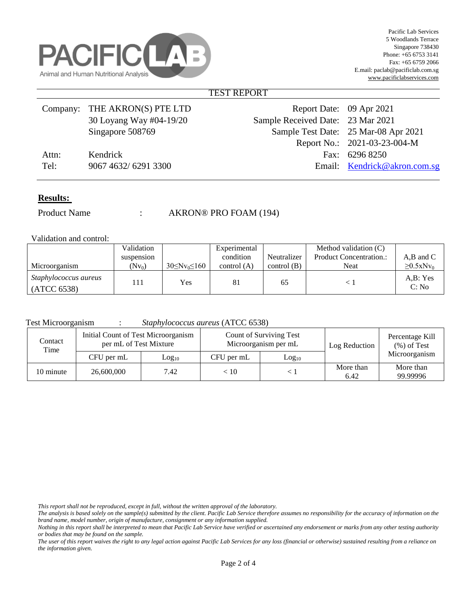

#### TEST REPORT

|       | Company: THE AKRON(S) PTE LTD | Report Date: 09 Apr 2021          |                                      |
|-------|-------------------------------|-----------------------------------|--------------------------------------|
|       | 30 Loyang Way #04-19/20       | Sample Received Date: 23 Mar 2021 |                                      |
|       | Singapore 508769              |                                   | Sample Test Date: 25 Mar-08 Apr 2021 |
|       |                               |                                   | Report No.: 2021-03-23-004-M         |
| Attn: | Kendrick                      |                                   | Fax: 6296 8250                       |
| Tel:  | 9067 4632/6291 3300           |                                   | Email: Kendrick@akron.com.sg         |
|       |                               |                                   |                                      |

#### **Results:**

Product Name : AKRON® PRO FOAM (194)

Validation and control:

|                                             | Validation |                         | Experimental  |               | Method validation (C)          |                             |
|---------------------------------------------|------------|-------------------------|---------------|---------------|--------------------------------|-----------------------------|
|                                             | suspension |                         | condition     | Neutralizer   | <b>Product Concentration.:</b> | A,B and C                   |
| Microorganism                               | $(Nv_0)$   | $30 \leq Nv_0 \leq 160$ | control $(A)$ | control $(B)$ | Neat                           | $\geq 0.5$ xNv <sub>0</sub> |
| <i>Staphylococcus aureus</i><br>(ATCC 6538) | l 11       | Yes                     | 81            | 65            |                                | A.B: Yes<br>C: No           |

Test Microorganism : *Staphylococcus aureus* (ATCC 6538)

| Contact<br>Time | Initial Count of Test Microorganism<br>per mL of Test Mixture |                   |            | Count of Surviving Test<br>Microorganism per mL | Log Reduction     | Percentage Kill<br>$(\%)$ of Test |
|-----------------|---------------------------------------------------------------|-------------------|------------|-------------------------------------------------|-------------------|-----------------------------------|
|                 | CFU per mL                                                    | Log <sub>10</sub> | CFU per mL | Log <sub>10</sub>                               |                   | Microorganism                     |
| 10 minute       | 26,600,000                                                    | 7.42              | < 10       |                                                 | More than<br>6.42 | More than<br>99.99996             |

*This report shall not be reproduced, except in full, without the written approval of the laboratory.* 

*The analysis is based solely on the sample(s) submitted by the client. Pacific Lab Service therefore assumes no responsibility for the accuracy of information on the brand name, model number, origin of manufacture, consignment or any information supplied.*

*Nothing in this report shall be interpreted to mean that Pacific Lab Service have verified or ascertained any endorsement or marks from any other testing authority or bodies that may be found on the sample.* 

*The user of this report waives the right to any legal action against Pacific Lab Services for any loss (financial or otherwise) sustained resulting from a reliance on the information given.*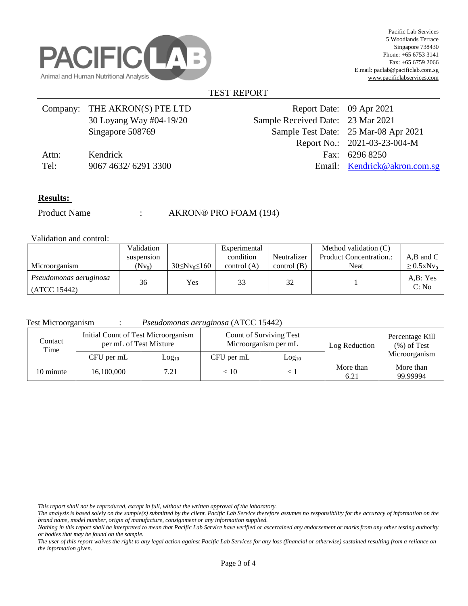

#### TEST REPORT

|       | Company: THE AKRON(S) PTE LTD | Report Date: 09 Apr 2021          |                                      |
|-------|-------------------------------|-----------------------------------|--------------------------------------|
|       | 30 Loyang Way #04-19/20       | Sample Received Date: 23 Mar 2021 |                                      |
|       | Singapore 508769              |                                   | Sample Test Date: 25 Mar-08 Apr 2021 |
|       |                               |                                   | Report No.: 2021-03-23-004-M         |
| Attn: | Kendrick                      |                                   | Fax: 6296 8250                       |
| Tel:  | 9067 4632/6291 3300           |                                   | Email: Kendrick@akron.com.sg         |
|       |                               |                                   |                                      |

#### **Results:**

Product Name : AKRON® PRO FOAM (194)

Validation and control:

|                                        | Validation |                       | Experimental  |               | Method validation (C)          |                             |
|----------------------------------------|------------|-----------------------|---------------|---------------|--------------------------------|-----------------------------|
|                                        | suspension |                       | condition     | Neutralizer   | <b>Product Concentration.:</b> | $A,B$ and $C$               |
| Microorganism                          | $(Nv_0)$   | $30 \le Nv_0 \le 160$ | control $(A)$ | control $(B)$ | Neat                           | $\geq 0.5$ xNv <sub>0</sub> |
| Pseudomonas aeruginosa<br>(ATCC 15442) | 36         | <b>Yes</b>            | 33            | 32            |                                | A,B: Yes<br>C: No           |

Test Microorganism : *Pseudomonas aeruginosa* (ATCC 15442)

| Contact<br>Time | Initial Count of Test Microorganism<br>per mL of Test Mixture |                   |            | Count of Surviving Test<br>Microorganism per mL | Log Reduction     | Percentage Kill<br>$(\%)$ of Test |
|-----------------|---------------------------------------------------------------|-------------------|------------|-------------------------------------------------|-------------------|-----------------------------------|
|                 | CFU per mL                                                    | Log <sub>10</sub> | CFU per mL | Log <sub>10</sub>                               |                   | Microorganism                     |
| 10 minute       | 16,100,000                                                    | 7.21              | < 10       |                                                 | More than<br>6.21 | More than<br>99.99994             |

*This report shall not be reproduced, except in full, without the written approval of the laboratory.* 

*The user of this report waives the right to any legal action against Pacific Lab Services for any loss (financial or otherwise) sustained resulting from a reliance on the information given.* 

*The analysis is based solely on the sample(s) submitted by the client. Pacific Lab Service therefore assumes no responsibility for the accuracy of information on the brand name, model number, origin of manufacture, consignment or any information supplied.*

*Nothing in this report shall be interpreted to mean that Pacific Lab Service have verified or ascertained any endorsement or marks from any other testing authority or bodies that may be found on the sample.*